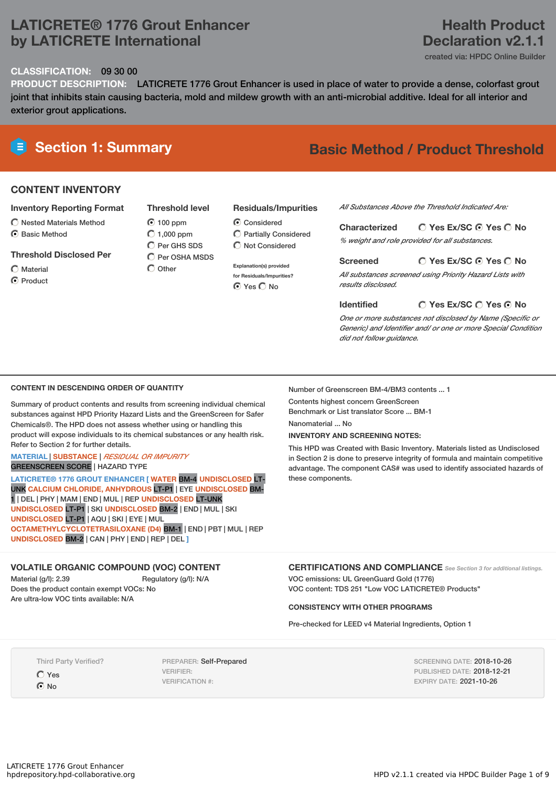# **LATICRETE® 1776 Grout Enhancer by LATICRETE International**

# **Health Product Declaration v2.1.1**

created via: HPDC Online Builder

#### **CLASSIFICATION:** 09 30 00

**PRODUCT DESCRIPTION:** LATICRETE 1776 Grout Enhancer is used in place of water to provide a dense, colorfast grout joint that inhibits stain causing bacteria, mold and mildew growth with an anti-microbial additive. Ideal for all interior and exterior grout applications.

# **Section 1: Summary Basic Method / Product Threshold**

## **CONTENT INVENTORY**

#### **Inventory Reporting Format**

- $\bigcirc$  Nested Materials Method
- C Rasic Method
- **Threshold Disclosed Per**
- Material **O** Product
- 

**Threshold level**  $\odot$  100 ppm  $\bigcirc$  1,000 ppm C Per GHS SDS  $\overline{C}$  Per OSHA MSDS  $\bigcap$  Other

- **Residuals/Impurities**
- C Considered Partially Considered  $\bigcap$  Not Considered
- **Explanation(s) provided for Residuals/Impurities? O** Yes O No

#### *All Substances Above the Threshold Indicated Are:*

**Yes Ex/SC Yes No Characterized**

*% weight and role provided for all substances.*

#### **Yes Ex/SC Yes No Screened**

*All substances screened using Priority Hazard Lists with results disclosed.*

**Identified**

### **Yes Ex/SC Yes No**

*One or more substances not disclosed by Name (Specific or Generic) and Identifier and/ or one or more Special Condition did not follow guidance.*

#### **CONTENT IN DESCENDING ORDER OF QUANTITY**

Summary of product contents and results from screening individual chemical substances against HPD Priority Hazard Lists and the GreenScreen for Safer Chemicals®. The HPD does not assess whether using or handling this product will expose individuals to its chemical substances or any health risk. Refer to Section 2 for further details.

#### **MATERIAL** | **SUBSTANCE** | *RESIDUAL OR IMPURITY* GREENSCREEN SCORE | HAZARD TYPE

**LATICRETE® 1776 GROUT ENHANCER [ WATER** BM-4 **UNDISCLOSED** LT-UNK **CALCIUM CHLORIDE, ANHYDROUS** LT-P1 | EYE **UNDISCLOSED** BM-1 | DEL | PHY | MAM | END | MUL | REP **UNDISCLOSED** LT-UNK **UNDISCLOSED** LT-P1 | SKI **UNDISCLOSED** BM-2 | END | MUL | SKI **UNDISCLOSED** LT-P1 | AQU | SKI | EYE | MUL **OCTAMETHYLCYCLOTETRASILOXANE (D4)** BM-1 | END | PBT | MUL | REP **UNDISCLOSED** BM-2 | CAN | PHY | END | REP | DEL **]**

#### **VOLATILE ORGANIC COMPOUND (VOC) CONTENT**

Material (g/l): 2.39 Regulatory (g/l): N/A Does the product contain exempt VOCs: No Are ultra-low VOC tints available: N/A

Number of Greenscreen BM-4/BM3 contents ... 1

Contents highest concern GreenScreen Benchmark or List translator Score ... BM-1 Nanomaterial No.

# **INVENTORY AND SCREENING NOTES:**

This HPD was Created with Basic Inventory. Materials listed as Undisclosed in Section 2 is done to preserve integrity of formula and maintain competitive advantage. The component CAS# was used to identify associated hazards of these components.

# **CERTIFICATIONS AND COMPLIANCE** *See Section <sup>3</sup> for additional listings.*

VOC emissions: UL GreenGuard Gold (1776) VOC content: TDS 251 "Low VOC LATICRETE® Products"

#### **CONSISTENCY WITH OTHER PROGRAMS**

Pre-checked for LEED v4 Material Ingredients, Option 1

Third Party Verified?

Yes

 $\odot$  No

PREPARER: Self-Prepared VERIFIER: VERIFICATION #:

SCREENING DATE: 2018-10-26 PUBLISHED DATE: 2018-12-21 EXPIRY DATE: 2021-10-26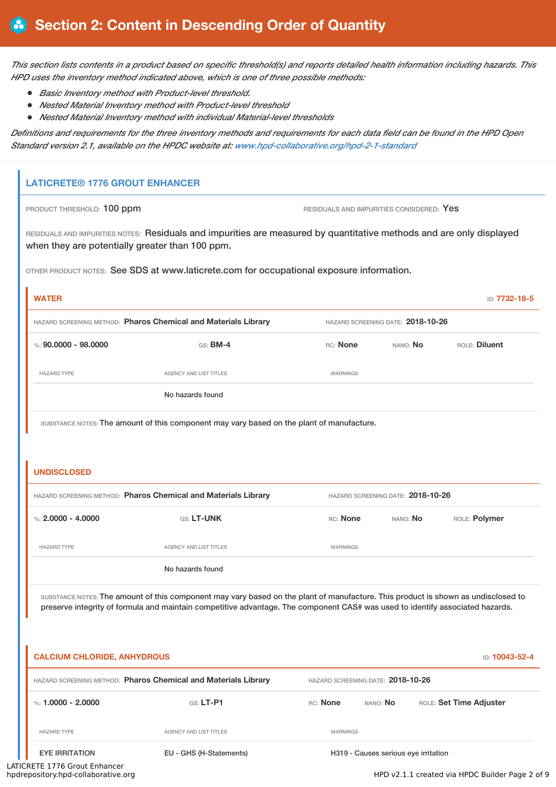This section lists contents in a product based on specific threshold(s) and reports detailed health information including hazards. This *HPD uses the inventory method indicated above, which is one of three possible methods:*

- *Basic Inventory method with Product-level threshold.*
- *Nested Material Inventory method with Product-level threshold*
- *Nested Material Inventory method with individual Material-level thresholds*

Definitions and requirements for the three inventory methods and requirements for each data field can be found in the HPD Open *Standard version 2.1, available on the HPDC website at: [www.hpd-collaborative.org/hpd-2-1-standard](http://www.hpd-collaborative.org/hpd-2-1-standard)*

# **LATICRETE® 1776 GROUT ENHANCER**

PRODUCT THRESHOLD: 100 ppm **RESIDUALS** AND IMPURITIES CONSIDERED: Yes

RESIDUALS AND IMPURITIES NOTES: Residuals and impurities are measured by quantitative methods and are only displayed when they are potentially greater than 100 ppm.

OTHER PRODUCT NOTES: See SDS at www.laticrete.com for occupational exposure information.

| <b>WATER</b>         |                                                                |          |                                   | ID: 7732-18-5 |
|----------------------|----------------------------------------------------------------|----------|-----------------------------------|---------------|
|                      | HAZARD SCREENING METHOD: Pharos Chemical and Materials Library |          | HAZARD SCREENING DATE: 2018-10-26 |               |
| %: 90,0000 - 98,0000 | $GS:$ BM-4                                                     | RC: None | NANO: No                          | ROLE: Diluent |
| <b>HAZARD TYPE</b>   | <b>AGENCY AND LIST TITLES</b>                                  | WARNINGS |                                   |               |
|                      | No hazards found                                               |          |                                   |               |

SUBSTANCE NOTES: The amount of this component may vary based on the plant of manufacture.

### **UNDISCLOSED**

| HAZARD SCREENING METHOD: Pharos Chemical and Materials Library |                        |          | HAZARD SCREENING DATE: 2018-10-26 |               |
|----------------------------------------------------------------|------------------------|----------|-----------------------------------|---------------|
| %: 2,0000 - 4,0000                                             | <b>GS: LT-UNK</b>      | RC: None | NANO: <b>No</b>                   | ROLE: Polymer |
| <b>HAZARD TYPE</b>                                             | AGENCY AND LIST TITLES | WARNINGS |                                   |               |
|                                                                | No hazards found       |          |                                   |               |

SUBSTANCE NOTES: The amount of this component may vary based on the plant of manufacture. This product is shown as undisclosed to preserve integrity of formula and maintain competitive advantage. The component CAS# was used to identify associated hazards.

| <b>CALCIUM CHLORIDE, ANHYDROUS</b> |                                                                |                 |                                      | <b>ID: 10043-52-4</b>   |
|------------------------------------|----------------------------------------------------------------|-----------------|--------------------------------------|-------------------------|
|                                    | HAZARD SCREENING METHOD: Pharos Chemical and Materials Library |                 | HAZARD SCREENING DATE: 2018-10-26    |                         |
| %: 1.0000 - 2.0000                 | $GS: LT-PI$                                                    | <b>RC:</b> None | NANO: <b>No</b>                      | ROLE: Set Time Adjuster |
| <b>HAZARD TYPE</b>                 | AGENCY AND LIST TITLES                                         | WARNINGS        |                                      |                         |
| <b>EYE IRRITATION</b>              | EU - GHS (H-Statements)                                        |                 | H319 - Causes serious eye irritation |                         |

LATICRETE 1776 Grout Enhancer<br>hpdrepository.hpd-collaborative.org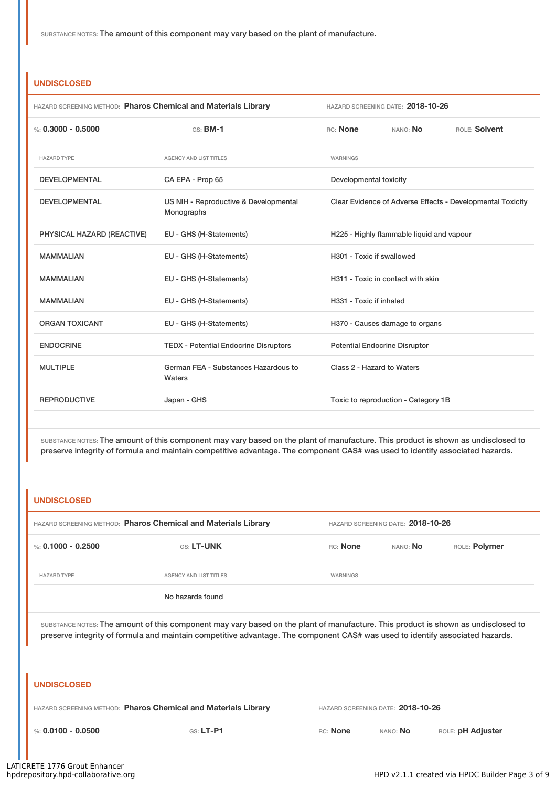SUBSTANCE NOTES: The amount of this component may vary based on the plant of manufacture.

### **UNDISCLOSED**

| HAZARD SCREENING METHOD: Pharos Chemical and Materials Library |                                                     |                                      | HAZARD SCREENING DATE: 2018-10-26         |                                                            |
|----------------------------------------------------------------|-----------------------------------------------------|--------------------------------------|-------------------------------------------|------------------------------------------------------------|
| %: $0.3000 - 0.5000$                                           | $GS:$ BM-1                                          | RC: None                             | NANO: No                                  | ROLE: Solvent                                              |
| <b>HAZARD TYPE</b>                                             | <b>AGENCY AND LIST TITLES</b>                       | <b>WARNINGS</b>                      |                                           |                                                            |
| <b>DEVELOPMENTAL</b>                                           | CA EPA - Prop 65                                    | Developmental toxicity               |                                           |                                                            |
| <b>DEVELOPMENTAL</b>                                           | US NIH - Reproductive & Developmental<br>Monographs |                                      |                                           | Clear Evidence of Adverse Effects - Developmental Toxicity |
| PHYSICAL HAZARD (REACTIVE)                                     | EU - GHS (H-Statements)                             |                                      | H225 - Highly flammable liquid and vapour |                                                            |
| <b>MAMMALIAN</b>                                               | EU - GHS (H-Statements)                             | H301 - Toxic if swallowed            |                                           |                                                            |
| <b>MAMMALIAN</b>                                               | EU - GHS (H-Statements)                             |                                      | H311 - Toxic in contact with skin         |                                                            |
| <b>MAMMALIAN</b>                                               | EU - GHS (H-Statements)                             | H331 - Toxic if inhaled              |                                           |                                                            |
| <b>ORGAN TOXICANT</b>                                          | EU - GHS (H-Statements)                             |                                      | H370 - Causes damage to organs            |                                                            |
| <b>ENDOCRINE</b>                                               | <b>TEDX - Potential Endocrine Disruptors</b>        | <b>Potential Endocrine Disruptor</b> |                                           |                                                            |
| <b>MULTIPLE</b>                                                | German FEA - Substances Hazardous to<br>Waters      | Class 2 - Hazard to Waters           |                                           |                                                            |
| <b>REPRODUCTIVE</b>                                            | Japan - GHS                                         |                                      | Toxic to reproduction - Category 1B       |                                                            |

SUBSTANCE NOTES: The amount of this component may vary based on the plant of manufacture. This product is shown as undisclosed to preserve integrity of formula and maintain competitive advantage. The component CAS# was used to identify associated hazards.

### **UNDISCLOSED**

| HAZARD SCREENING METHOD: Pharos Chemical and Materials Library |                        |          | HAZARD SCREENING DATE: 2018-10-26 |               |
|----------------------------------------------------------------|------------------------|----------|-----------------------------------|---------------|
| %: 0.1000 - 0.2500                                             | <b>GS: LT-UNK</b>      | RC: None | NANO: No                          | ROLE: Polymer |
| <b>HAZARD TYPE</b>                                             | AGENCY AND LIST TITLES | WARNINGS |                                   |               |
|                                                                | No hazards found       |          |                                   |               |

SUBSTANCE NOTES: The amount of this component may vary based on the plant of manufacture. This product is shown as undisclosed to preserve integrity of formula and maintain competitive advantage. The component CAS# was used to identify associated hazards.

#### **UNDISCLOSED**

| HAZARD SCREENING METHOD: Pharos Chemical and Materials Library |                       | HAZARD SCREENING DATE: 2018-10-26 |                 |                          |
|----------------------------------------------------------------|-----------------------|-----------------------------------|-----------------|--------------------------|
| $\%$ : 0.0100 - 0.0500                                         | $\mathsf{GS}$ : LT-P1 | RC: None                          | NANO: <b>No</b> | ROLE: <b>pH Adjuster</b> |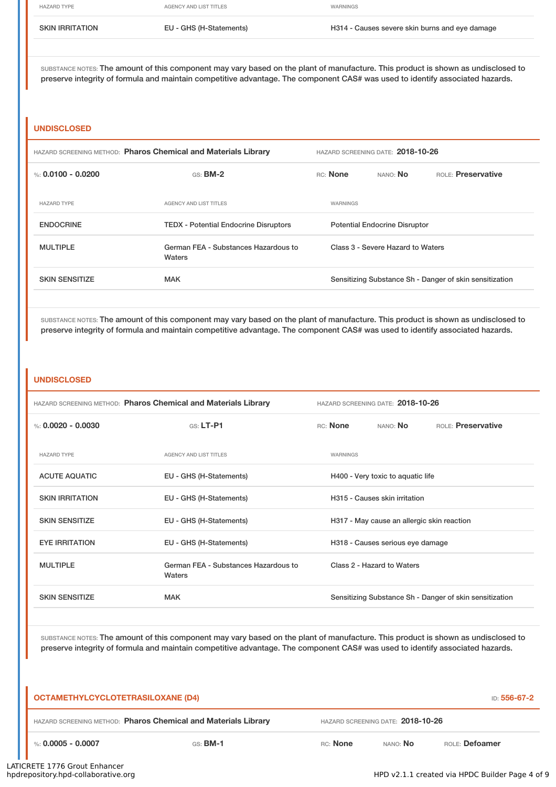HAZARD TYPE **AGENCY AND LIST TITLES** AGENCY AND LIST TITLES SKIN IRRITATION EU - GHS (H-Statements) H314 - Causes severe skin burns and eye damage

SUBSTANCE NOTES: The amount of this component may vary based on the plant of manufacture. This product is shown as undisclosed to preserve integrity of formula and maintain competitive advantage. The component CAS# was used to identify associated hazards.

#### **UNDISCLOSED**

| HAZARD SCREENING METHOD: Pharos Chemical and Materials Library |                                                | HAZARD SCREENING DATE: 2018-10-26 |          |                                      |                                                         |
|----------------------------------------------------------------|------------------------------------------------|-----------------------------------|----------|--------------------------------------|---------------------------------------------------------|
| %: 0.0100 - 0.0200                                             | GS: BM-2                                       |                                   | RC: None | NANO: <b>No</b>                      | <b>ROLE:</b> Preservative                               |
| <b>HAZARD TYPE</b>                                             | <b>AGENCY AND LIST TITLES</b>                  |                                   | WARNINGS |                                      |                                                         |
| <b>ENDOCRINE</b>                                               | <b>TEDX</b> - Potential Endocrine Disruptors   |                                   |          | <b>Potential Endocrine Disruptor</b> |                                                         |
| <b>MULTIPLE</b>                                                | German FEA - Substances Hazardous to<br>Waters |                                   |          | Class 3 - Severe Hazard to Waters    |                                                         |
| <b>SKIN SENSITIZE</b>                                          | <b>MAK</b>                                     |                                   |          |                                      | Sensitizing Substance Sh - Danger of skin sensitization |
|                                                                |                                                |                                   |          |                                      |                                                         |

SUBSTANCE NOTES: The amount of this component may vary based on the plant of manufacture. This product is shown as undisclosed to preserve integrity of formula and maintain competitive advantage. The component CAS# was used to identify associated hazards.

#### **UNDISCLOSED**

| HAZARD SCREENING METHOD: Pharos Chemical and Materials Library |                                                | HAZARD SCREENING DATE: 2018-10-26 |          |                                            |                                                         |
|----------------------------------------------------------------|------------------------------------------------|-----------------------------------|----------|--------------------------------------------|---------------------------------------------------------|
| %: $0.0020 - 0.0030$                                           | $G.S.$ LT-P1                                   |                                   | RC: None | NANO: <b>No</b>                            | ROLE: Preservative                                      |
| <b>HAZARD TYPE</b>                                             | <b>AGENCY AND LIST TITLES</b>                  |                                   | WARNINGS |                                            |                                                         |
| <b>ACUTE AQUATIC</b>                                           | EU - GHS (H-Statements)                        |                                   |          | H400 - Very toxic to aquatic life          |                                                         |
| <b>SKIN IRRITATION</b>                                         | EU - GHS (H-Statements)                        |                                   |          | H315 - Causes skin irritation              |                                                         |
| <b>SKIN SENSITIZE</b>                                          | EU - GHS (H-Statements)                        |                                   |          | H317 - May cause an allergic skin reaction |                                                         |
| <b>EYE IRRITATION</b>                                          | EU - GHS (H-Statements)                        |                                   |          | H318 - Causes serious eye damage           |                                                         |
| <b>MULTIPLE</b>                                                | German FEA - Substances Hazardous to<br>Waters |                                   |          | Class 2 - Hazard to Waters                 |                                                         |
| <b>SKIN SENSITIZE</b>                                          | <b>MAK</b>                                     |                                   |          |                                            | Sensitizing Substance Sh - Danger of skin sensitization |

SUBSTANCE NOTES: The amount of this component may vary based on the plant of manufacture. This product is shown as undisclosed to preserve integrity of formula and maintain competitive advantage. The component CAS# was used to identify associated hazards.

| <b>OCTAMETHYLCYCLOTETRASILOXANE (D4)</b>                       |            |          |                                   | ID: 556-67-2   |
|----------------------------------------------------------------|------------|----------|-----------------------------------|----------------|
| HAZARD SCREENING METHOD: Pharos Chemical and Materials Library |            |          | HAZARD SCREENING DATE: 2018-10-26 |                |
| %: 0.0005 - 0.0007                                             | $GS:$ BM-1 | RC: None | NANO: <b>No</b>                   | ROLE: Defoamer |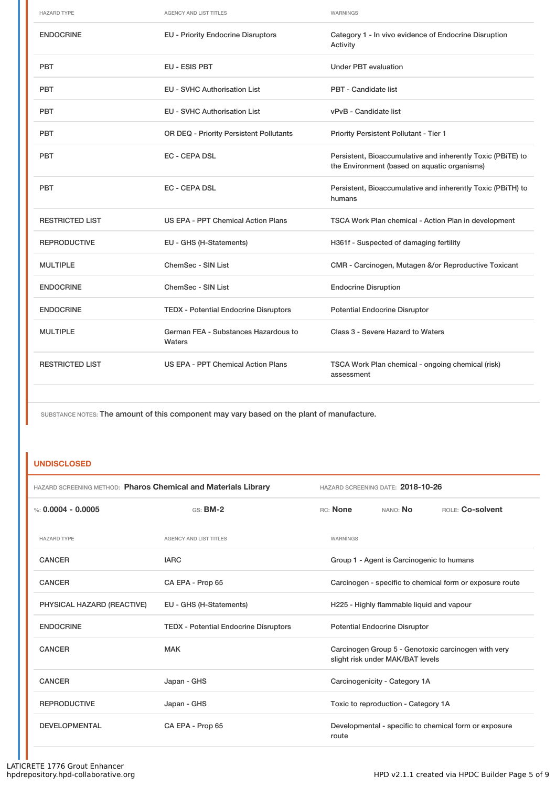| <b>HAZARD TYPE</b>     | <b>AGENCY AND LIST TITLES</b>                  | WARNINGS                                                                                                    |
|------------------------|------------------------------------------------|-------------------------------------------------------------------------------------------------------------|
| <b>ENDOCRINE</b>       | <b>EU - Priority Endocrine Disruptors</b>      | Category 1 - In vivo evidence of Endocrine Disruption<br>Activity                                           |
| <b>PBT</b>             | EU - ESIS PBT                                  | <b>Under PBT evaluation</b>                                                                                 |
| <b>PBT</b>             | <b>EU - SVHC Authorisation List</b>            | PBT - Candidate list                                                                                        |
| <b>PBT</b>             | <b>EU - SVHC Authorisation List</b>            | vPvB - Candidate list                                                                                       |
| <b>PBT</b>             | OR DEQ - Priority Persistent Pollutants        | <b>Priority Persistent Pollutant - Tier 1</b>                                                               |
| <b>PBT</b>             | <b>EC - CEPA DSL</b>                           | Persistent, Bioaccumulative and inherently Toxic (PBiTE) to<br>the Environment (based on aquatic organisms) |
| <b>PBT</b>             | <b>EC - CEPA DSL</b>                           | Persistent, Bioaccumulative and inherently Toxic (PBiTH) to<br>humans                                       |
| <b>RESTRICTED LIST</b> | US EPA - PPT Chemical Action Plans             | TSCA Work Plan chemical - Action Plan in development                                                        |
| <b>REPRODUCTIVE</b>    | EU - GHS (H-Statements)                        | H361f - Suspected of damaging fertility                                                                     |
| <b>MULTIPLE</b>        | ChemSec - SIN List                             | CMR - Carcinogen, Mutagen &/or Reproductive Toxicant                                                        |
| <b>ENDOCRINE</b>       | ChemSec - SIN List                             | <b>Endocrine Disruption</b>                                                                                 |
| <b>ENDOCRINE</b>       | <b>TEDX - Potential Endocrine Disruptors</b>   | <b>Potential Endocrine Disruptor</b>                                                                        |
| <b>MULTIPLE</b>        | German FEA - Substances Hazardous to<br>Waters | Class 3 - Severe Hazard to Waters                                                                           |
| <b>RESTRICTED LIST</b> | US EPA - PPT Chemical Action Plans             | TSCA Work Plan chemical - ongoing chemical (risk)<br>assessment                                             |
|                        |                                                |                                                                                                             |

SUBSTANCE NOTES: The amount of this component may vary based on the plant of manufacture.

# **UNDISCLOSED**

| HAZARD SCREENING METHOD: Pharos Chemical and Materials Library |                                              | HAZARD SCREENING DATE: 2018-10-26                                                       |
|----------------------------------------------------------------|----------------------------------------------|-----------------------------------------------------------------------------------------|
| %: $0.0004 - 0.0005$                                           | $GS:$ BM-2                                   | ROLE: Co-solvent<br>RC: None<br>NANO: No                                                |
| <b>HAZARD TYPE</b>                                             | <b>AGENCY AND LIST TITLES</b>                | WARNINGS                                                                                |
| <b>CANCER</b>                                                  | <b>IARC</b>                                  | Group 1 - Agent is Carcinogenic to humans                                               |
| <b>CANCER</b>                                                  | CA EPA - Prop 65                             | Carcinogen - specific to chemical form or exposure route                                |
| PHYSICAL HAZARD (REACTIVE)                                     | EU - GHS (H-Statements)                      | H225 - Highly flammable liquid and vapour                                               |
| <b>ENDOCRINE</b>                                               | <b>TEDX</b> - Potential Endocrine Disruptors | <b>Potential Endocrine Disruptor</b>                                                    |
| <b>CANCER</b>                                                  | <b>MAK</b>                                   | Carcinogen Group 5 - Genotoxic carcinogen with very<br>slight risk under MAK/BAT levels |
| <b>CANCER</b>                                                  | Japan - GHS                                  | Carcinogenicity - Category 1A                                                           |
| <b>REPRODUCTIVE</b>                                            | Japan - GHS                                  | Toxic to reproduction - Category 1A                                                     |
| <b>DEVELOPMENTAL</b>                                           | CA EPA - Prop 65                             | Developmental - specific to chemical form or exposure<br>route                          |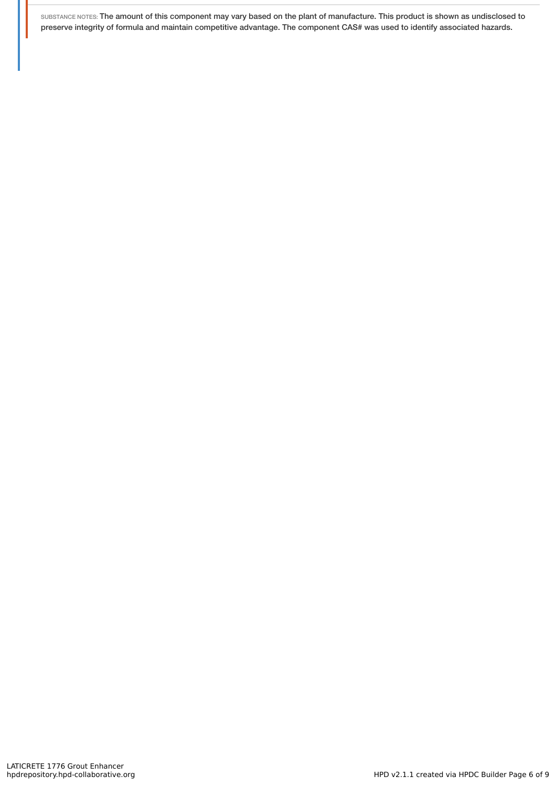SUBSTANCE NOTES: The amount of this component may vary based on the plant of manufacture. This product is shown as undisclosed to preserve integrity of formula and maintain competitive advantage. The component CAS# was used to identify associated hazards.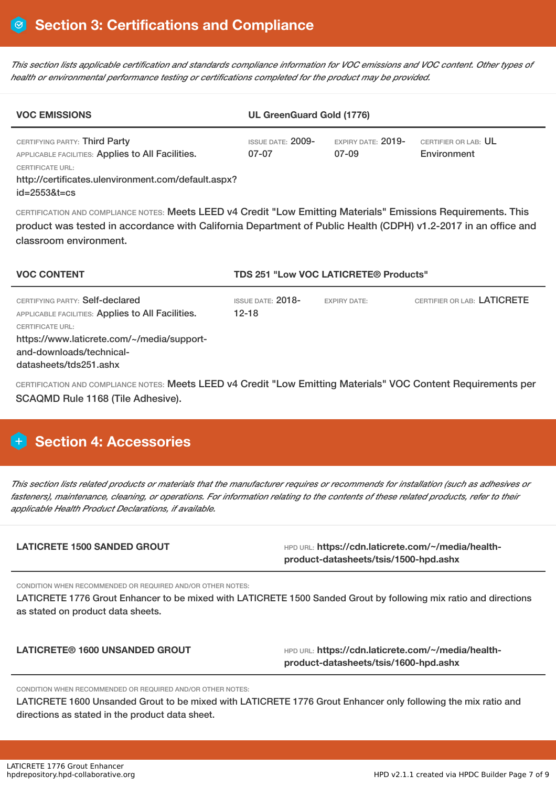This section lists applicable certification and standards compliance information for VOC emissions and VOC content. Other types of *health or environmental performance testing or certifications completed for the product may be provided.*

| <b>VOC EMISSIONS</b>                                                                                                                                                                       | <b>UL GreenGuard Gold (1776)</b>               |                               |                                     |  |  |
|--------------------------------------------------------------------------------------------------------------------------------------------------------------------------------------------|------------------------------------------------|-------------------------------|-------------------------------------|--|--|
| CERTIFYING PARTY: Third Party<br>APPLICABLE FACILITIES: Applies to All Facilities.<br><b>CERTIFICATE URL:</b><br>http://certificates.ulenvironment.com/default.aspx?<br>$id = 25538t = cs$ | <b>ISSUE DATE: <math>2009-</math></b><br>07-07 | EXPIRY DATE: $2019-$<br>07-09 | CERTIFIER OR LAB: UL<br>Environment |  |  |

CERTIFICATION AND COMPLIANCE NOTES: Meets LEED v4 Credit "Low Emitting Materials" Emissions Requirements. This product was tested in accordance with California Department of Public Health (CDPH) v1.2-2017 in an office and classroom environment.

| <b>VOC CONTENT</b>                                                                                                                                                                                                  | <b>TDS 251 "Low VOC LATICRETE® Products"</b> |                     |                             |
|---------------------------------------------------------------------------------------------------------------------------------------------------------------------------------------------------------------------|----------------------------------------------|---------------------|-----------------------------|
| CERTIFYING PARTY: Self-declared<br>APPLICABLE FACILITIES: Applies to All Facilities.<br><b>CERTIFICATE URL:</b><br>https://www.laticrete.com/~/media/support-<br>and-downloads/technical-<br>datasheets/tds251.ashx | ISSUE DATE: $2018-$<br>12-18                 | <b>EXPIRY DATE:</b> | CERTIFIER OR LAB: LATICRETE |

CERTIFICATION AND COMPLIANCE NOTES: Meets LEED v4 Credit "Low Emitting Materials" VOC Content Requirements per SCAQMD Rule 1168 (Tile Adhesive).

# **H** Section 4: Accessories

This section lists related products or materials that the manufacturer requires or recommends for installation (such as adhesives or fasteners), maintenance, cleaning, or operations. For information relating to the contents of these related products, refer to their *applicable Health Product Declarations, if available.*

| <b>LATICRETE 1500 SANDED GROUT</b> | HPD URL: https://cdn.laticrete.com/~/media/health- |  |
|------------------------------------|----------------------------------------------------|--|
|                                    | product-datasheets/tsis/1500-hpd.ashx              |  |
|                                    |                                                    |  |

CONDITION WHEN RECOMMENDED OR REQUIRED AND/OR OTHER NOTES:

LATICRETE 1776 Grout Enhancer to be mixed with LATICRETE 1500 Sanded Grout by following mix ratio and directions as stated on product data sheets.

LATICRETE<sup>®</sup> 1600 UNSANDED GROUT **And Account of the URL: https://cdn.laticrete.com/~/media/healthproduct-datasheets/tsis/1600-hpd.ashx**

CONDITION WHEN RECOMMENDED OR REQUIRED AND/OR OTHER NOTES:

LATICRETE 1600 Unsanded Grout to be mixed with LATICRETE 1776 Grout Enhancer only following the mix ratio and directions as stated in the product data sheet.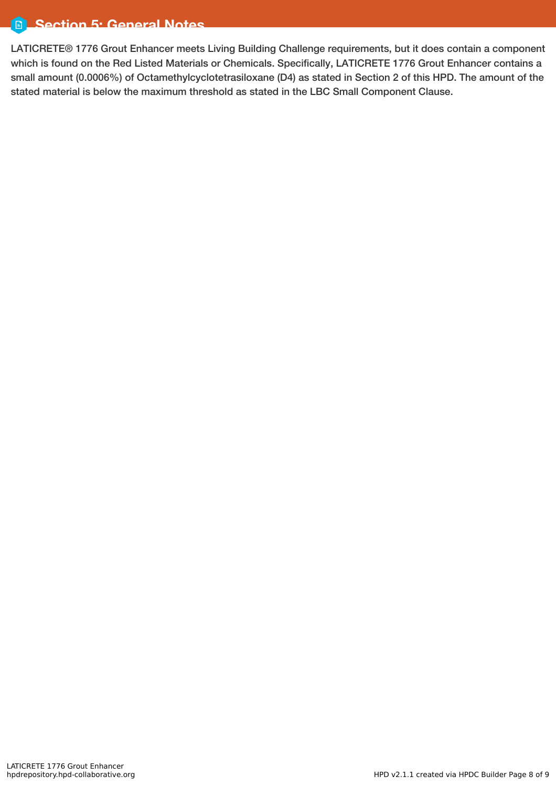#### Ō. **Section 5: General Notes**

LATICRETE® 1776 Grout Enhancer meets Living Building Challenge requirements, but it does contain a component which is found on the Red Listed Materials or Chemicals. Specifically, LATICRETE 1776 Grout Enhancer contains a small amount (0.0006%) of Octamethylcyclotetrasiloxane (D4) as stated in Section 2 of this HPD. The amount of the stated material is below the maximum threshold as stated in the LBC Small Component Clause.